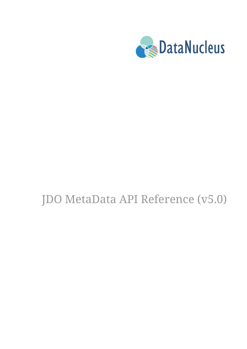

# JDO MetaData API Reference (v5.0)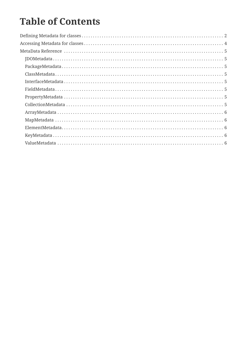# **Table of Contents**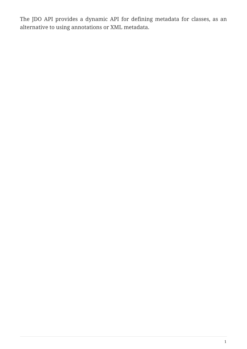The JDO API provides a dynamic API for defining metadata for classes, as an alternative to using annotations or XML metadata.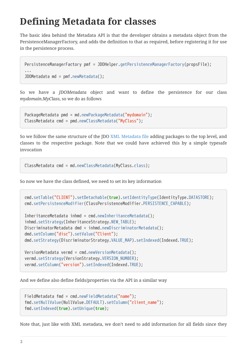# <span id="page-3-0"></span>**Defining Metadata for classes**

The basic idea behind the Metadata API is that the developer obtains a metadata object from the PersistenceManagerFactory, and adds the definition to that as required, before registering it for use in the persistence process.

```
PersistenceManagerFactory pmf = JDOHelper.getPersistenceManagerFactory(propsFile);
...
JDOMetadata md = pmf.newMetadata();
```
So we have a *JDOMetadata* object and want to define the persistence for our class *mydomain.MyClass*, so we do as follows

```
PackageMetadata pmd = md.newPackageMetadata("mydomain");
ClassMetadata cmd = pmd.newClassMetadata("MyClass");
```
So we follow the same structure of the JDO [XML Metadata file](metadata_xml.html) adding packages to the top level, and classes to the respective package. Note that we could have achieved this by a simple typesafe invocation

ClassMetadata cmd = md.newClassMetadata(MyClass.class);

So now we have the class defined, we need to set its key information

```
cmd.setTable("CLIENT").setDetachable(true).setIdentityType(IdentityType.DATASTORE);
cmd.setPersistenceModifier(ClassPersistenceModifier.PERSISTENCE_CAPABLE);
```

```
InheritanceMetadata inhmd = cmd.newInheritanceMetadata();
inhmd.setStrategy(InheritanceStrategy.NEW_TABLE);
DiscriminatorMetadata dmd = inhmd.newDiscriminatorMetadata();
dmd.setColumn("disc").setValue("Client");
dmd.setStrategy(DiscriminatorStrategy.VALUE_MAP).setIndexed(Indexed.TRUE);
VersionMetadata vermd = cmd.newVersionMetadata();
vermd.setStrategy(VersionStrategy.VERSION_NUMBER);
```
vermd.setColumn("version").setIndexed(Indexed.TRUE);

And we define also define fields/properties via the API in a similar way

```
FieldMetadata fmd = cmd.newFieldMetadata("name");
fmd.setNullValue(NullValue.DEFAULT).setColumn("client_name");
fmd.setIndexed(true).setUnique(true);
```
Note that, just like with XML metadata, we don't need to add information for all fields since they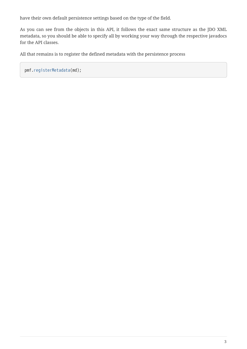have their own default persistence settings based on the type of the field.

As you can see from the objects in this API, it follows the exact same structure as the JDO XML metadata, so you should be able to specify all by working your way through the respective javadocs for the API classes.

All that remains is to register the defined metadata with the persistence process

pmf.registerMetadata(md);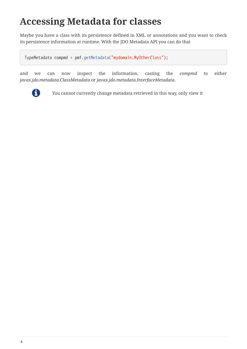# <span id="page-5-0"></span>**Accessing Metadata for classes**

Maybe you have a class with its persistence defined in XML or annotations and you want to check its persistence information at runtime. With the JDO Metadata API you can do that

TypeMetadata compmd = pmf.getMetadata("mydomain.MyOtherClass");

and we can now inspect the information, casting the *compmd* to either *javax.jdo.metadata.ClassMetadata* or *javax.jdo.metadata.InterfaceMetadata*.



**T** You cannot currently change metadata retrieved in this way, only view it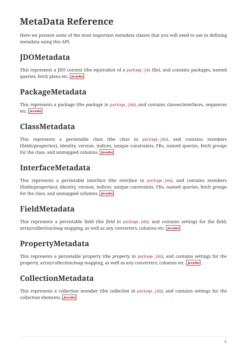# <span id="page-6-0"></span>**MetaData Reference**

Here we present some of the most important metadata classes that you will need to use in defining metadata using this API.

## <span id="page-6-1"></span>**JDOMetadata**

This represents a JDO context (the equivalent of a package.jdo file), and contains packages, named queries,fetch plans etc. **Javadoc** 

#### <span id="page-6-2"></span>**PackageMetadata**

This represents a package (the *package* in package.jdo), and contains classes/interfaces, sequences etc.**Javadoc** 

#### <span id="page-6-3"></span>**ClassMetadata**

This represents a persistable class (the *class* in package.jdo), and contains members (fields/properties), identity, version, indices, unique constraints, FKs, named queries, fetch groups forthe class, and unmapped columns. **Javadoc** 

#### <span id="page-6-4"></span>**InterfaceMetadata**

This represents a persistable interface (the *interface* in package.jdo), and contains members (fields/properties), identity, version, indices, unique constraints, FKs, named queries, fetch groups forthe class, and unmapped columns. **Javadoc** 

### <span id="page-6-5"></span>**FieldMetadata**

This represents a persistable field (the *field* in package.jdo), and contains settings for the field, array/collection/mapmapping, as well as any converters, columns etc. **Javadoc** 

### <span id="page-6-6"></span>**PropertyMetadata**

This represents a persistable property (the *property* in package.jdo), and contains settings for the property, array/collection/map mapping, as well as any converters, columns etc. **Javadoc** 

### <span id="page-6-7"></span>**CollectionMetadata**

This represents a collection member (the *collection* in package.jdo), and contains settings for the collection elements. **Javadoc**